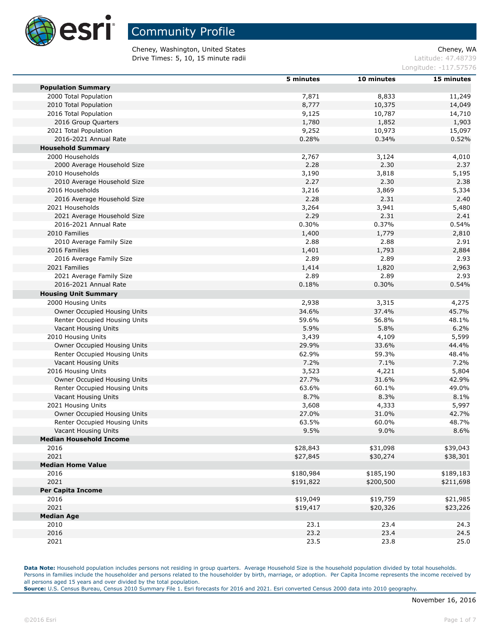

Cheney, Washington, United States Cheney, WA **Drive Times: 5, 10, 15 minute radii Latitude: 47.48739** 

Longitude: -117.57576

|                                | 5 minutes | 10 minutes | 15 minutes |
|--------------------------------|-----------|------------|------------|
| <b>Population Summary</b>      |           |            |            |
| 2000 Total Population          | 7,871     | 8,833      | 11,249     |
| 2010 Total Population          | 8,777     | 10,375     | 14,049     |
| 2016 Total Population          | 9,125     | 10,787     | 14,710     |
| 2016 Group Quarters            | 1,780     | 1,852      | 1,903      |
| 2021 Total Population          | 9,252     | 10,973     | 15,097     |
| 2016-2021 Annual Rate          | 0.28%     | 0.34%      | 0.52%      |
| <b>Household Summary</b>       |           |            |            |
| 2000 Households                | 2,767     | 3,124      | 4,010      |
| 2000 Average Household Size    | 2.28      | 2.30       | 2.37       |
| 2010 Households                | 3,190     | 3,818      | 5,195      |
| 2010 Average Household Size    | 2.27      | 2.30       | 2.38       |
| 2016 Households                | 3,216     | 3,869      | 5,334      |
| 2016 Average Household Size    | 2.28      | 2.31       | 2.40       |
| 2021 Households                | 3,264     | 3,941      | 5,480      |
| 2021 Average Household Size    | 2.29      | 2.31       | 2.41       |
| 2016-2021 Annual Rate          | 0.30%     | 0.37%      | 0.54%      |
| 2010 Families                  |           | 1,779      |            |
|                                | 1,400     |            | 2,810      |
| 2010 Average Family Size       | 2.88      | 2.88       | 2.91       |
| 2016 Families                  | 1,401     | 1,793      | 2,884      |
| 2016 Average Family Size       | 2.89      | 2.89       | 2.93       |
| 2021 Families                  | 1,414     | 1,820      | 2,963      |
| 2021 Average Family Size       | 2.89      | 2.89       | 2.93       |
| 2016-2021 Annual Rate          | 0.18%     | 0.30%      | 0.54%      |
| <b>Housing Unit Summary</b>    |           |            |            |
| 2000 Housing Units             | 2,938     | 3,315      | 4,275      |
| Owner Occupied Housing Units   | 34.6%     | 37.4%      | 45.7%      |
| Renter Occupied Housing Units  | 59.6%     | 56.8%      | 48.1%      |
| Vacant Housing Units           | 5.9%      | 5.8%       | 6.2%       |
| 2010 Housing Units             | 3,439     | 4,109      | 5,599      |
| Owner Occupied Housing Units   | 29.9%     | 33.6%      | 44.4%      |
| Renter Occupied Housing Units  | 62.9%     | 59.3%      | 48.4%      |
| Vacant Housing Units           | 7.2%      | 7.1%       | 7.2%       |
| 2016 Housing Units             | 3,523     | 4,221      | 5,804      |
| Owner Occupied Housing Units   | 27.7%     | 31.6%      | 42.9%      |
| Renter Occupied Housing Units  | 63.6%     | 60.1%      | 49.0%      |
| Vacant Housing Units           | 8.7%      | 8.3%       | 8.1%       |
| 2021 Housing Units             | 3,608     | 4,333      | 5,997      |
| Owner Occupied Housing Units   | 27.0%     | 31.0%      | 42.7%      |
| Renter Occupied Housing Units  | 63.5%     | 60.0%      | 48.7%      |
| Vacant Housing Units           | 9.5%      | 9.0%       | 8.6%       |
| <b>Median Household Income</b> |           |            |            |
| 2016                           | \$28,843  | \$31,098   | \$39,043   |
| 2021                           | \$27,845  | \$30,274   | \$38,301   |
| <b>Median Home Value</b>       |           |            |            |
| 2016                           | \$180,984 | \$185,190  | \$189,183  |
| 2021                           | \$191,822 | \$200,500  | \$211,698  |
| <b>Per Capita Income</b>       |           |            |            |
| 2016                           | \$19,049  | \$19,759   | \$21,985   |
| 2021                           |           |            |            |
|                                | \$19,417  | \$20,326   | \$23,226   |
| <b>Median Age</b>              |           |            |            |
| 2010                           | 23.1      | 23.4       | 24.3       |
| 2016                           | 23.2      | 23.4       | 24.5       |
| 2021                           | 23.5      | 23.8       | 25.0       |

Data Note: Household population includes persons not residing in group quarters. Average Household Size is the household population divided by total households. Persons in families include the householder and persons related to the householder by birth, marriage, or adoption. Per Capita Income represents the income received by all persons aged 15 years and over divided by the total population.

**Source:** U.S. Census Bureau, Census 2010 Summary File 1. Esri forecasts for 2016 and 2021. Esri converted Census 2000 data into 2010 geography.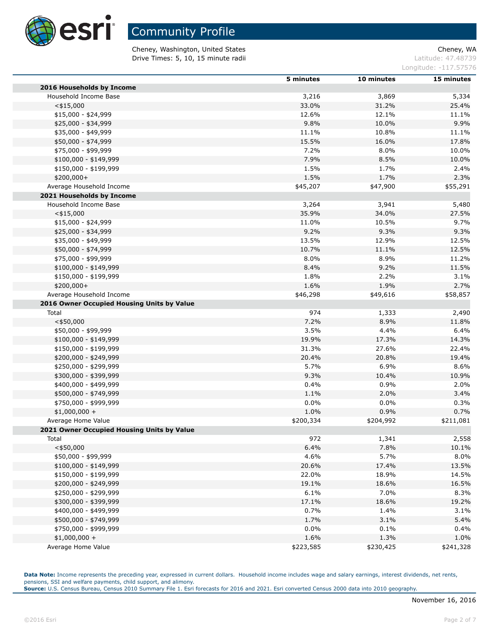

## Community Profile

Cheney, Washington, United States Cheney, WA **Drive Times: 5, 10, 15 minute radii Latitude: 47.48739** 

Longitude: -117.57576

|                                            | 5 minutes | 10 minutes | 15 minutes |
|--------------------------------------------|-----------|------------|------------|
| 2016 Households by Income                  |           |            |            |
| Household Income Base                      | 3,216     | 3,869      | 5,334      |
| $<$ \$15,000                               | 33.0%     | 31.2%      | 25.4%      |
| $$15,000 - $24,999$                        | 12.6%     | 12.1%      | 11.1%      |
| \$25,000 - \$34,999                        | 9.8%      | 10.0%      | 9.9%       |
| \$35,000 - \$49,999                        | 11.1%     | 10.8%      | 11.1%      |
| \$50,000 - \$74,999                        | 15.5%     | 16.0%      | 17.8%      |
| \$75,000 - \$99,999                        | 7.2%      | 8.0%       | 10.0%      |
| $$100,000 - $149,999$                      | 7.9%      | 8.5%       | 10.0%      |
| \$150,000 - \$199,999                      | 1.5%      | 1.7%       | 2.4%       |
| \$200,000+                                 | 1.5%      | 1.7%       | 2.3%       |
| Average Household Income                   | \$45,207  | \$47,900   | \$55,291   |
| 2021 Households by Income                  |           |            |            |
| Household Income Base                      | 3,264     | 3,941      | 5,480      |
| $<$ \$15,000                               | 35.9%     | 34.0%      | 27.5%      |
| $$15,000 - $24,999$                        | 11.0%     | 10.5%      | 9.7%       |
| \$25,000 - \$34,999                        | 9.2%      | 9.3%       | 9.3%       |
| \$35,000 - \$49,999                        | 13.5%     | 12.9%      | 12.5%      |
| \$50,000 - \$74,999                        | 10.7%     | 11.1%      | 12.5%      |
| \$75,000 - \$99,999                        | 8.0%      | 8.9%       | 11.2%      |
| \$100,000 - \$149,999                      | 8.4%      | 9.2%       | 11.5%      |
| \$150,000 - \$199,999                      | 1.8%      | 2.2%       | 3.1%       |
| \$200,000+                                 | 1.6%      | 1.9%       | 2.7%       |
| Average Household Income                   | \$46,298  | \$49,616   | \$58,857   |
| 2016 Owner Occupied Housing Units by Value |           |            |            |
| Total                                      | 974       | 1,333      | 2,490      |
| $<$ \$50,000                               | 7.2%      | 8.9%       | 11.8%      |
| \$50,000 - \$99,999                        | 3.5%      | 4.4%       | 6.4%       |
|                                            |           |            |            |
| \$100,000 - \$149,999                      | 19.9%     | 17.3%      | 14.3%      |
| \$150,000 - \$199,999                      | 31.3%     | 27.6%      | 22.4%      |
| \$200,000 - \$249,999                      | 20.4%     | 20.8%      | 19.4%      |
| \$250,000 - \$299,999                      | 5.7%      | 6.9%       | 8.6%       |
| \$300,000 - \$399,999                      | 9.3%      | 10.4%      | 10.9%      |
| \$400,000 - \$499,999                      | 0.4%      | 0.9%       | 2.0%       |
| \$500,000 - \$749,999                      | 1.1%      | 2.0%       | 3.4%       |
| \$750,000 - \$999,999                      | 0.0%      | $0.0\%$    | 0.3%       |
| $$1,000,000 +$                             | 1.0%      | 0.9%       | 0.7%       |
| Average Home Value                         | \$200,334 | \$204,992  | \$211,081  |
| 2021 Owner Occupied Housing Units by Value |           |            |            |
| Total                                      | 972       | 1,341      | 2,558      |
| $<$ \$50,000                               | 6.4%      | 7.8%       | 10.1%      |
| \$50,000 - \$99,999                        | 4.6%      | 5.7%       | 8.0%       |
| \$100,000 - \$149,999                      | 20.6%     | 17.4%      | 13.5%      |
| \$150,000 - \$199,999                      | 22.0%     | 18.9%      | 14.5%      |
| \$200,000 - \$249,999                      | 19.1%     | 18.6%      | 16.5%      |
| \$250,000 - \$299,999                      | 6.1%      | 7.0%       | 8.3%       |
| \$300,000 - \$399,999                      | 17.1%     | 18.6%      | 19.2%      |
| \$400,000 - \$499,999                      | 0.7%      | 1.4%       | 3.1%       |
| \$500,000 - \$749,999                      | 1.7%      | 3.1%       | 5.4%       |
| \$750,000 - \$999,999                      | $0.0\%$   | 0.1%       | 0.4%       |
| $$1,000,000 +$                             | 1.6%      | 1.3%       | 1.0%       |
| Average Home Value                         | \$223,585 | \$230,425  | \$241,328  |

Data Note: Income represents the preceding year, expressed in current dollars. Household income includes wage and salary earnings, interest dividends, net rents, pensions, SSI and welfare payments, child support, and alimony.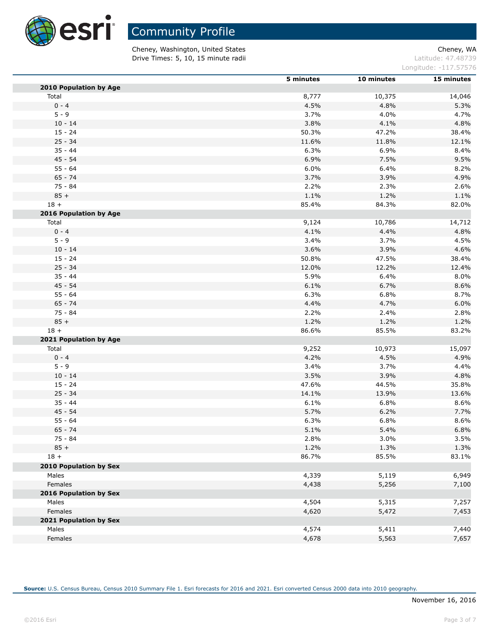

Cheney, Washington, United States Cheney, WA **Drive Times: 5, 10, 15 minute radii Latitude: 47.48739** 

Longitude: -117.57576

|                        | 5 minutes | 10 minutes | 15 minutes |
|------------------------|-----------|------------|------------|
| 2010 Population by Age |           |            |            |
| Total                  | 8,777     | 10,375     | 14,046     |
| $0 - 4$                | 4.5%      | 4.8%       | 5.3%       |
| $5 - 9$                | 3.7%      | 4.0%       | 4.7%       |
| $10 - 14$              | 3.8%      | 4.1%       | 4.8%       |
| $15 - 24$              | 50.3%     | 47.2%      | 38.4%      |
| $25 - 34$              | 11.6%     | 11.8%      | 12.1%      |
| $35 - 44$              | 6.3%      | 6.9%       | 8.4%       |
| $45 - 54$              | 6.9%      | 7.5%       | 9.5%       |
| $55 - 64$              | 6.0%      | 6.4%       | 8.2%       |
| $65 - 74$              | 3.7%      | 3.9%       | 4.9%       |
| $75 - 84$              | 2.2%      | 2.3%       | 2.6%       |
| $85 +$                 | 1.1%      | 1.2%       | 1.1%       |
| $18 +$                 | 85.4%     | 84.3%      | 82.0%      |
| 2016 Population by Age |           |            |            |
| Total                  | 9,124     | 10,786     | 14,712     |
| $0 - 4$                | 4.1%      | 4.4%       | 4.8%       |
| $5 - 9$                | 3.4%      | 3.7%       | 4.5%       |
| $10 - 14$              | 3.6%      | 3.9%       | 4.6%       |
| $15 - 24$              | 50.8%     | 47.5%      | 38.4%      |
| $25 - 34$              | 12.0%     | 12.2%      | 12.4%      |
| $35 - 44$              | 5.9%      | 6.4%       | 8.0%       |
| $45 - 54$              | 6.1%      | 6.7%       | 8.6%       |
| $55 - 64$              | 6.3%      | 6.8%       | 8.7%       |
| $65 - 74$              | 4.4%      | 4.7%       | 6.0%       |
| 75 - 84                | 2.2%      | 2.4%       | 2.8%       |
| $85 +$                 | 1.2%      | 1.2%       | 1.2%       |
| $18 +$                 | 86.6%     | 85.5%      | 83.2%      |
| 2021 Population by Age |           |            |            |
| Total                  | 9,252     | 10,973     | 15,097     |
| $0 - 4$                | 4.2%      | 4.5%       | 4.9%       |
| $5 - 9$                | 3.4%      | 3.7%       | 4.4%       |
| $10 - 14$              | 3.5%      | 3.9%       | 4.8%       |
| $15 - 24$              | 47.6%     | 44.5%      | 35.8%      |
| $25 - 34$              | 14.1%     | 13.9%      | 13.6%      |
| $35 - 44$              | 6.1%      | 6.8%       | 8.6%       |
| $45 - 54$              | 5.7%      | 6.2%       | 7.7%       |
| $55 - 64$              | 6.3%      | 6.8%       | 8.6%       |
| $65 - 74$              | 5.1%      | 5.4%       | 6.8%       |
| 75 - 84                | 2.8%      | 3.0%       | 3.5%       |
| $85 +$                 | 1.2%      | 1.3%       | 1.3%       |
| $18 +$                 | 86.7%     | 85.5%      | 83.1%      |
| 2010 Population by Sex |           |            |            |
| Males                  | 4,339     | 5,119      | 6,949      |
| Females                | 4,438     | 5,256      | 7,100      |
| 2016 Population by Sex |           |            |            |
| Males                  | 4,504     | 5,315      | 7,257      |
| Females                | 4,620     | 5,472      | 7,453      |
| 2021 Population by Sex |           |            |            |
| Males                  | 4,574     | 5,411      | 7,440      |
| Females                | 4,678     | 5,563      | 7,657      |
|                        |           |            |            |

**Source:** U.S. Census Bureau, Census 2010 Summary File 1. Esri forecasts for 2016 and 2021. Esri converted Census 2000 data into 2010 geography.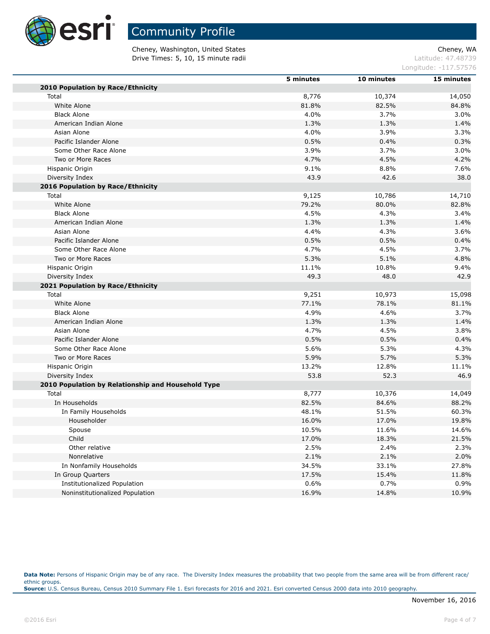

Community Profile

Cheney, Washington, United States Cheney, WA **Drive Times: 5, 10, 15 minute radii Latitude: 47.48739** 

Longitude: -117.57576

|                                                    | 5 minutes | 10 minutes | 15 minutes |
|----------------------------------------------------|-----------|------------|------------|
| 2010 Population by Race/Ethnicity                  |           |            |            |
| Total                                              | 8,776     | 10,374     | 14,050     |
| White Alone                                        | 81.8%     | 82.5%      | 84.8%      |
| <b>Black Alone</b>                                 | 4.0%      | 3.7%       | 3.0%       |
| American Indian Alone                              | 1.3%      | 1.3%       | 1.4%       |
| Asian Alone                                        | 4.0%      | 3.9%       | 3.3%       |
| Pacific Islander Alone                             | 0.5%      | 0.4%       | 0.3%       |
| Some Other Race Alone                              | 3.9%      | 3.7%       | 3.0%       |
| Two or More Races                                  | 4.7%      | 4.5%       | 4.2%       |
| Hispanic Origin                                    | 9.1%      | 8.8%       | 7.6%       |
| Diversity Index                                    | 43.9      | 42.6       | 38.0       |
| 2016 Population by Race/Ethnicity                  |           |            |            |
| Total                                              | 9,125     | 10,786     | 14,710     |
| White Alone                                        | 79.2%     | 80.0%      | 82.8%      |
| <b>Black Alone</b>                                 | 4.5%      | 4.3%       | 3.4%       |
| American Indian Alone                              | 1.3%      | 1.3%       | 1.4%       |
| Asian Alone                                        | 4.4%      | 4.3%       | 3.6%       |
| Pacific Islander Alone                             | 0.5%      | 0.5%       | 0.4%       |
| Some Other Race Alone                              | 4.7%      | 4.5%       | 3.7%       |
| Two or More Races                                  | 5.3%      | 5.1%       | 4.8%       |
| Hispanic Origin                                    | 11.1%     | 10.8%      | 9.4%       |
| Diversity Index                                    | 49.3      | 48.0       | 42.9       |
| 2021 Population by Race/Ethnicity                  |           |            |            |
| Total                                              | 9,251     | 10,973     | 15,098     |
| White Alone                                        | 77.1%     | 78.1%      | 81.1%      |
| <b>Black Alone</b>                                 | 4.9%      | 4.6%       | 3.7%       |
| American Indian Alone                              | 1.3%      | 1.3%       | 1.4%       |
| Asian Alone                                        | 4.7%      | 4.5%       | 3.8%       |
| Pacific Islander Alone                             | 0.5%      | 0.5%       | 0.4%       |
| Some Other Race Alone                              | 5.6%      | 5.3%       | 4.3%       |
| Two or More Races                                  | 5.9%      | 5.7%       | 5.3%       |
| Hispanic Origin                                    | 13.2%     | 12.8%      | 11.1%      |
| Diversity Index                                    | 53.8      | 52.3       | 46.9       |
| 2010 Population by Relationship and Household Type |           |            |            |
| Total                                              | 8,777     | 10,376     | 14,049     |
| In Households                                      | 82.5%     | 84.6%      | 88.2%      |
| In Family Households                               | 48.1%     | 51.5%      | 60.3%      |
| Householder                                        | 16.0%     | 17.0%      | 19.8%      |
| Spouse                                             | 10.5%     | 11.6%      | 14.6%      |
| Child                                              | 17.0%     | 18.3%      | 21.5%      |
| Other relative                                     | 2.5%      | 2.4%       | 2.3%       |
| Nonrelative                                        | 2.1%      | 2.1%       | 2.0%       |
| In Nonfamily Households                            | 34.5%     | 33.1%      | 27.8%      |
| In Group Quarters                                  | 17.5%     | 15.4%      | 11.8%      |
| Institutionalized Population                       | 0.6%      | 0.7%       | 0.9%       |
| Noninstitutionalized Population                    | 16.9%     | 14.8%      | 10.9%      |

Data Note: Persons of Hispanic Origin may be of any race. The Diversity Index measures the probability that two people from the same area will be from different race/ ethnic groups. **Source:** U.S. Census Bureau, Census 2010 Summary File 1. Esri forecasts for 2016 and 2021. Esri converted Census 2000 data into 2010 geography.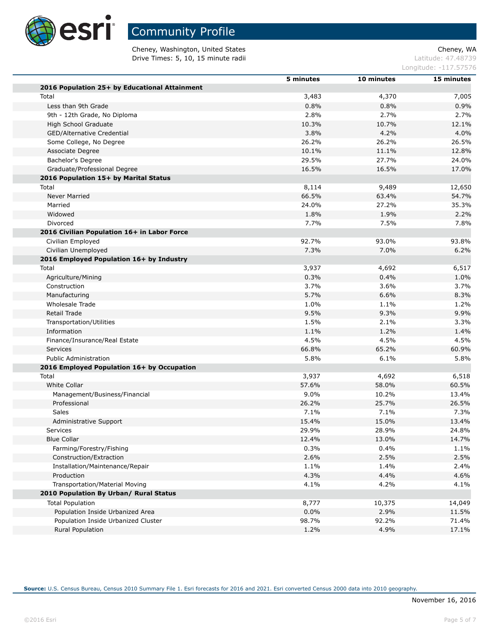

Cheney, Washington, United States Cheney, WA **Drive Times: 5, 10, 15 minute radii Latitude: 47.48739** 

Longitude: -117.57576

|                                               | 5 minutes | 10 minutes | 15 minutes |
|-----------------------------------------------|-----------|------------|------------|
| 2016 Population 25+ by Educational Attainment |           |            |            |
| Total                                         | 3,483     | 4,370      | 7,005      |
| Less than 9th Grade                           | 0.8%      | 0.8%       | 0.9%       |
| 9th - 12th Grade, No Diploma                  | 2.8%      | 2.7%       | 2.7%       |
| <b>High School Graduate</b>                   | 10.3%     | 10.7%      | 12.1%      |
| GED/Alternative Credential                    | 3.8%      | 4.2%       | 4.0%       |
| Some College, No Degree                       | 26.2%     | 26.2%      | 26.5%      |
| Associate Degree                              | 10.1%     | 11.1%      | 12.8%      |
| Bachelor's Degree                             | 29.5%     | 27.7%      | 24.0%      |
| Graduate/Professional Degree                  | 16.5%     | 16.5%      | 17.0%      |
| 2016 Population 15+ by Marital Status         |           |            |            |
| Total                                         | 8,114     | 9,489      | 12,650     |
| Never Married                                 | 66.5%     | 63.4%      | 54.7%      |
| Married                                       | 24.0%     | 27.2%      | 35.3%      |
| Widowed                                       | 1.8%      | 1.9%       | 2.2%       |
| Divorced                                      | 7.7%      | 7.5%       | 7.8%       |
| 2016 Civilian Population 16+ in Labor Force   |           |            |            |
| Civilian Employed                             | 92.7%     | 93.0%      | 93.8%      |
| Civilian Unemployed                           | 7.3%      | 7.0%       | 6.2%       |
| 2016 Employed Population 16+ by Industry      |           |            |            |
| Total                                         | 3,937     | 4,692      | 6,517      |
| Agriculture/Mining                            | 0.3%      | 0.4%       | 1.0%       |
| Construction                                  | 3.7%      | 3.6%       | 3.7%       |
| Manufacturing                                 | 5.7%      | 6.6%       | 8.3%       |
| Wholesale Trade                               | 1.0%      | 1.1%       | 1.2%       |
| Retail Trade                                  | 9.5%      | 9.3%       | 9.9%       |
| Transportation/Utilities                      | 1.5%      | 2.1%       | 3.3%       |
| Information                                   | 1.1%      | 1.2%       | 1.4%       |
| Finance/Insurance/Real Estate                 | 4.5%      | 4.5%       | 4.5%       |
| Services                                      | 66.8%     | 65.2%      | 60.9%      |
| <b>Public Administration</b>                  | 5.8%      | 6.1%       | 5.8%       |
| 2016 Employed Population 16+ by Occupation    |           |            |            |
| Total                                         | 3,937     | 4,692      | 6,518      |
| White Collar                                  | 57.6%     | 58.0%      | 60.5%      |
| Management/Business/Financial                 | 9.0%      | 10.2%      | 13.4%      |
| Professional                                  | 26.2%     | 25.7%      | 26.5%      |
| Sales                                         | 7.1%      | 7.1%       | 7.3%       |
| Administrative Support                        | 15.4%     | 15.0%      | 13.4%      |
| Services                                      | 29.9%     | 28.9%      | 24.8%      |
| <b>Blue Collar</b>                            | 12.4%     | 13.0%      | 14.7%      |
| Farming/Forestry/Fishing                      | 0.3%      | 0.4%       | 1.1%       |
| Construction/Extraction                       | 2.6%      | 2.5%       | 2.5%       |
| Installation/Maintenance/Repair               | 1.1%      | 1.4%       | 2.4%       |
| Production                                    | 4.3%      | 4.4%       | 4.6%       |
| Transportation/Material Moving                | 4.1%      | 4.2%       | 4.1%       |
| 2010 Population By Urban/ Rural Status        |           |            |            |
|                                               |           |            |            |
| <b>Total Population</b>                       | 8,777     | 10,375     | 14,049     |
| Population Inside Urbanized Area              | 0.0%      | 2.9%       | 11.5%      |
| Population Inside Urbanized Cluster           | 98.7%     | 92.2%      | 71.4%      |
| <b>Rural Population</b>                       | 1.2%      | 4.9%       | 17.1%      |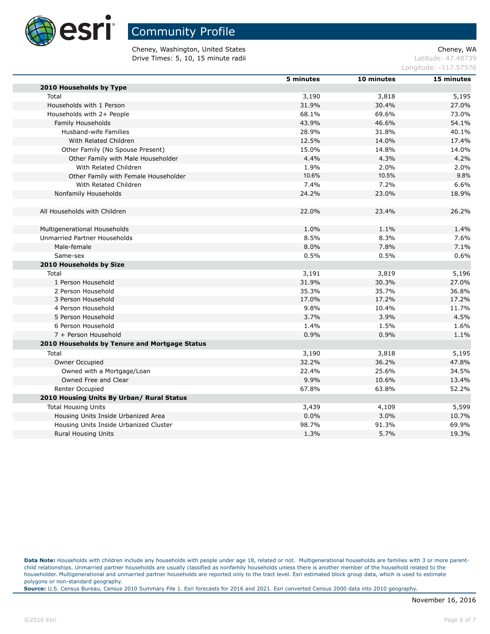

Cheney, Washington, United States Cheney, WA **Drive Times: 5, 10, 15 minute radii Latitude: 47.48739** 

Longitude: -117.57576

|                                               | 5 minutes | 10 minutes | 15 minutes |
|-----------------------------------------------|-----------|------------|------------|
| 2010 Households by Type                       |           |            |            |
| Total                                         | 3,190     | 3,818      | 5,195      |
| Households with 1 Person                      | 31.9%     | 30.4%      | 27.0%      |
| Households with 2+ People                     | 68.1%     | 69.6%      | 73.0%      |
| Family Households                             | 43.9%     | 46.6%      | 54.1%      |
| Husband-wife Families                         | 28.9%     | 31.8%      | 40.1%      |
| With Related Children                         | 12.5%     | 14.0%      | 17.4%      |
| Other Family (No Spouse Present)              | 15.0%     | 14.8%      | 14.0%      |
| Other Family with Male Householder            | 4.4%      | 4.3%       | 4.2%       |
| With Related Children                         | 1.9%      | 2.0%       | 2.0%       |
| Other Family with Female Householder          | 10.6%     | 10.5%      | 9.8%       |
| With Related Children                         | 7.4%      | 7.2%       | 6.6%       |
| Nonfamily Households                          | 24.2%     | 23.0%      | 18.9%      |
|                                               |           |            |            |
| All Households with Children                  | 22.0%     | 23.4%      | 26.2%      |
| Multigenerational Households                  | 1.0%      | 1.1%       | 1.4%       |
| Unmarried Partner Households                  | 8.5%      | 8.3%       | 7.6%       |
| Male-female                                   | 8.0%      | 7.8%       | 7.1%       |
| Same-sex                                      | 0.5%      | 0.5%       | 0.6%       |
| 2010 Households by Size                       |           |            |            |
| Total                                         | 3,191     | 3,819      | 5,196      |
| 1 Person Household                            | 31.9%     | 30.3%      | 27.0%      |
| 2 Person Household                            | 35.3%     | 35.7%      | 36.8%      |
| 3 Person Household                            | 17.0%     | 17.2%      | 17.2%      |
| 4 Person Household                            | 9.8%      | 10.4%      | 11.7%      |
| 5 Person Household                            | 3.7%      | 3.9%       | 4.5%       |
| 6 Person Household                            | 1.4%      | 1.5%       | 1.6%       |
| 7 + Person Household                          | 0.9%      | 0.9%       | 1.1%       |
| 2010 Households by Tenure and Mortgage Status |           |            |            |
| Total                                         | 3,190     | 3,818      | 5,195      |
| Owner Occupied                                | 32.2%     | 36.2%      | 47.8%      |
| Owned with a Mortgage/Loan                    | 22.4%     | 25.6%      | 34.5%      |
| Owned Free and Clear                          | 9.9%      | 10.6%      | 13.4%      |
| Renter Occupied                               | 67.8%     | 63.8%      | 52.2%      |
| 2010 Housing Units By Urban/ Rural Status     |           |            |            |
| <b>Total Housing Units</b>                    | 3,439     | 4,109      | 5,599      |
| Housing Units Inside Urbanized Area           | 0.0%      | 3.0%       | 10.7%      |
| Housing Units Inside Urbanized Cluster        | 98.7%     | 91.3%      | 69.9%      |
| <b>Rural Housing Units</b>                    | 1.3%      | 5.7%       | 19.3%      |
|                                               |           |            |            |

Data Note: Households with children include any households with people under age 18, related or not. Multigenerational households are families with 3 or more parentchild relationships. Unmarried partner households are usually classified as nonfamily households unless there is another member of the household related to the householder. Multigenerational and unmarried partner households are reported only to the tract level. Esri estimated block group data, which is used to estimate polygons or non-standard geography.

**Source:** U.S. Census Bureau, Census 2010 Summary File 1. Esri forecasts for 2016 and 2021. Esri converted Census 2000 data into 2010 geography.